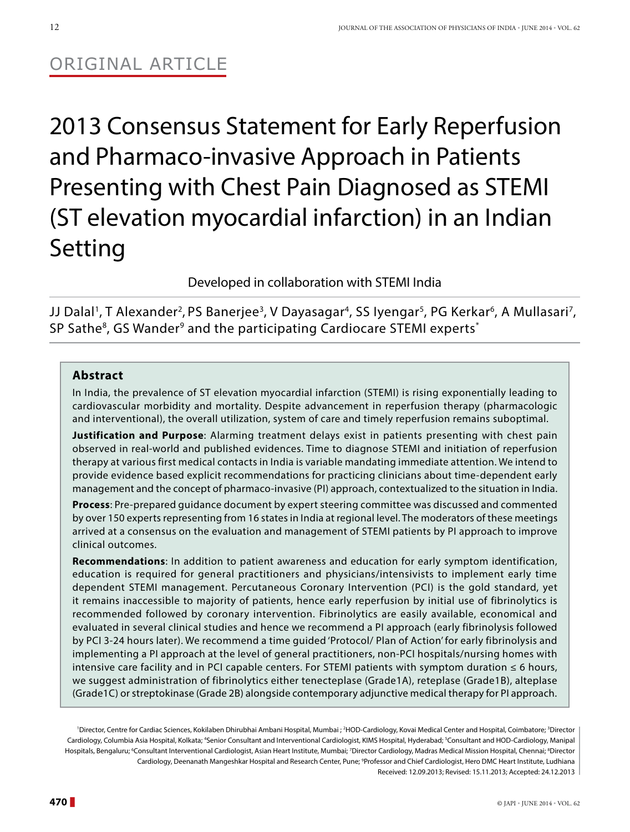# Original Article

2013 Consensus Statement for Early Reperfusion and Pharmaco-invasive Approach in Patients Presenting with Chest Pain Diagnosed as STEMI (ST elevation myocardial infarction) in an Indian Setting

Developed in collaboration with STEMI India

JJ Dalal<sup>1</sup>, T Alexander<sup>2</sup>, PS Banerjee<sup>3</sup>, V Dayasagar<sup>4</sup>, SS Iyengar<sup>5</sup>, PG Kerkar<sup>6</sup>, A Mullasari<sup>7</sup>, SP Sathe<sup>8</sup>, GS Wander<sup>9</sup> and the participating Cardiocare STEMI experts<sup>\*</sup>

# **Abstract**

In India, the prevalence of ST elevation myocardial infarction (STEMI) is rising exponentially leading to cardiovascular morbidity and mortality. Despite advancement in reperfusion therapy (pharmacologic and interventional), the overall utilization, system of care and timely reperfusion remains suboptimal.

**Justification and Purpose**: Alarming treatment delays exist in patients presenting with chest pain observed in real-world and published evidences. Time to diagnose STEMI and initiation of reperfusion therapy at various first medical contacts in India is variable mandating immediate attention. We intend to provide evidence based explicit recommendations for practicing clinicians about time-dependent early management and the concept of pharmaco-invasive (PI) approach, contextualized to the situation in India.

**Process**: Pre-prepared guidance document by expert steering committee was discussed and commented by over 150 experts representing from 16 states in India at regional level. The moderators of these meetings arrived at a consensus on the evaluation and management of STEMI patients by PI approach to improve clinical outcomes.

**Recommendations**: In addition to patient awareness and education for early symptom identification, education is required for general practitioners and physicians/intensivists to implement early time dependent STEMI management. Percutaneous Coronary Intervention (PCI) is the gold standard, yet it remains inaccessible to majority of patients, hence early reperfusion by initial use of fibrinolytics is recommended followed by coronary intervention. Fibrinolytics are easily available, economical and evaluated in several clinical studies and hence we recommend a PI approach (early fibrinolysis followed by PCI 3-24 hours later). We recommend a time guided 'Protocol/ Plan of Action' for early fibrinolysis and implementing a PI approach at the level of general practitioners, non-PCI hospitals/nursing homes with intensive care facility and in PCI capable centers. For STEMI patients with symptom duration  $\leq 6$  hours, we suggest administration of fibrinolytics either tenecteplase (Grade1A), reteplase (Grade1B), alteplase (Grade1C) or streptokinase (Grade 2B) alongside contemporary adjunctive medical therapy for PI approach.

'Director, Centre for Cardiac Sciences, Kokilaben Dhirubhai Ambani Hospital, Mumbai ; <sup>2</sup>HOD-Cardiology, Kovai Medical Center and Hospital, Coimbatore; <sup>3</sup>Director Cardiology, Columbia Asia Hospital, Kolkata; <sup>4</sup>Senior Consultant and Interventional Cardiologist, KIMS Hospital, Hyderabad; <sup>s</sup>Consultant and HOD-Cardiology, Manipal Hospitals, Bengaluru; <sup>6</sup>Consultant Interventional Cardiologist, Asian Heart Institute, Mumbai; <sup>7</sup>Director Cardiology, Madras Medical Mission Hospital, Chennai; <sup>8</sup>Director Cardiology, Deenanath Mangeshkar Hospital and Research Center, Pune; 9 Professor and Chief Cardiologist, Hero DMC Heart Institute, Ludhiana Received: 12.09.2013; Revised: 15.11.2013; Accepted: 24.12.2013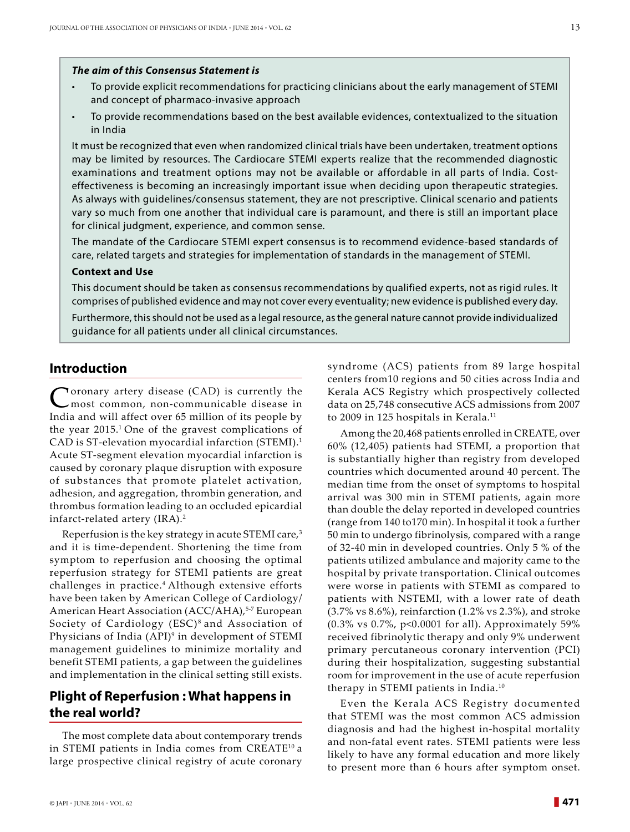#### *The aim of this Consensus Statement is*

- To provide explicit recommendations for practicing clinicians about the early management of STEMI and concept of pharmaco-invasive approach
- To provide recommendations based on the best available evidences, contextualized to the situation in India

It must be recognized that even when randomized clinical trials have been undertaken, treatment options may be limited by resources. The Cardiocare STEMI experts realize that the recommended diagnostic examinations and treatment options may not be available or affordable in all parts of India. Costeffectiveness is becoming an increasingly important issue when deciding upon therapeutic strategies. As always with guidelines/consensus statement, they are not prescriptive. Clinical scenario and patients vary so much from one another that individual care is paramount, and there is still an important place for clinical judgment, experience, and common sense.

The mandate of the Cardiocare STEMI expert consensus is to recommend evidence-based standards of care, related targets and strategies for implementation of standards in the management of STEMI.

#### **Context and Use**

This document should be taken as consensus recommendations by qualified experts, not as rigid rules. It comprises of published evidence and may not cover every eventuality; new evidence is published every day.

Furthermore, this should not be used as a legal resource, as the general nature cannot provide individualized guidance for all patients under all clinical circumstances.

### **Introduction**

**Poronary artery disease (CAD) is currently the** most common, non-communicable disease in India and will affect over 65 million of its people by the year 2015.<sup>1</sup> One of the gravest complications of CAD is ST-elevation myocardial infarction (STEMI).1 Acute ST-segment elevation myocardial infarction is caused by coronary plaque disruption with exposure of substances that promote platelet activation, adhesion, and aggregation, thrombin generation, and thrombus formation leading to an occluded epicardial infarct-related artery (IRA).2

Reperfusion is the key strategy in acute STEMI care,<sup>3</sup> and it is time-dependent. Shortening the time from symptom to reperfusion and choosing the optimal reperfusion strategy for STEMI patients are great challenges in practice.4 Although extensive efforts have been taken by American College of Cardiology/ American Heart Association (ACC/AHA),<sup>5-7</sup> European Society of Cardiology (ESC)<sup>8</sup> and Association of Physicians of India (API)<sup>9</sup> in development of STEMI management guidelines to minimize mortality and benefit STEMI patients, a gap between the guidelines and implementation in the clinical setting still exists.

# **Plight of Reperfusion : What happens in the real world?**

The most complete data about contemporary trends in STEMI patients in India comes from CREATE<sup>10</sup> a large prospective clinical registry of acute coronary syndrome (ACS) patients from 89 large hospital centers from10 regions and 50 cities across India and Kerala ACS Registry which prospectively collected data on 25,748 consecutive ACS admissions from 2007 to 2009 in 125 hospitals in Kerala.<sup>11</sup>

Among the 20,468 patients enrolled in CREATE, over 60% (12,405) patients had STEMI, a proportion that is substantially higher than registry from developed countries which documented around 40 percent. The median time from the onset of symptoms to hospital arrival was 300 min in STEMI patients, again more than double the delay reported in developed countries (range from 140 to170 min). In hospital it took a further 50 min to undergo fibrinolysis, compared with a range of 32-40 min in developed countries. Only 5 % of the patients utilized ambulance and majority came to the hospital by private transportation. Clinical outcomes were worse in patients with STEMI as compared to patients with NSTEMI, with a lower rate of death (3.7% vs 8.6%), reinfarction (1.2% vs 2.3%), and stroke (0.3% vs 0.7%, p<0.0001 for all). Approximately 59% received fibrinolytic therapy and only 9% underwent primary percutaneous coronary intervention (PCI) during their hospitalization, suggesting substantial room for improvement in the use of acute reperfusion therapy in STEMI patients in India.10

Even the Kerala ACS Registry documented that STEMI was the most common ACS admission diagnosis and had the highest in-hospital mortality and non-fatal event rates. STEMI patients were less likely to have any formal education and more likely to present more than 6 hours after symptom onset.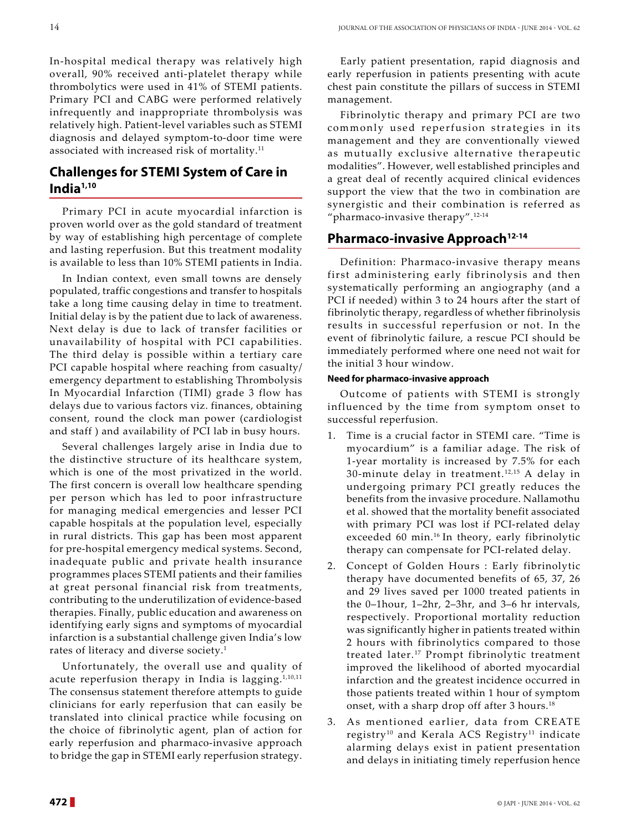In-hospital medical therapy was relatively high overall, 90% received anti-platelet therapy while thrombolytics were used in 41% of STEMI patients. Primary PCI and CABG were performed relatively infrequently and inappropriate thrombolysis was relatively high. Patient-level variables such as STEMI diagnosis and delayed symptom-to-door time were associated with increased risk of mortality.<sup>11</sup>

# **Challenges for Stemi System of Care in India1,10**

Primary PCI in acute myocardial infarction is proven world over as the gold standard of treatment by way of establishing high percentage of complete and lasting reperfusion. But this treatment modality is available to less than 10% STEMI patients in India.

In Indian context, even small towns are densely populated, traffic congestions and transfer to hospitals take a long time causing delay in time to treatment. Initial delay is by the patient due to lack of awareness. Next delay is due to lack of transfer facilities or unavailability of hospital with PCI capabilities. The third delay is possible within a tertiary care PCI capable hospital where reaching from casualty/ emergency department to establishing Thrombolysis In Myocardial Infarction (TIMI) grade 3 flow has delays due to various factors viz. finances, obtaining consent, round the clock man power (cardiologist and staff ) and availability of PCI lab in busy hours.

Several challenges largely arise in India due to the distinctive structure of its healthcare system, which is one of the most privatized in the world. The first concern is overall low healthcare spending per person which has led to poor infrastructure for managing medical emergencies and lesser PCI capable hospitals at the population level, especially in rural districts. This gap has been most apparent for pre-hospital emergency medical systems. Second, inadequate public and private health insurance programmes places STEMI patients and their families at great personal financial risk from treatments, contributing to the underutilization of evidence-based therapies. Finally, public education and awareness on identifying early signs and symptoms of myocardial infarction is a substantial challenge given India's low rates of literacy and diverse society.<sup>1</sup>

Unfortunately, the overall use and quality of acute reperfusion therapy in India is lagging.<sup>1,10,11</sup> The consensus statement therefore attempts to guide clinicians for early reperfusion that can easily be translated into clinical practice while focusing on the choice of fibrinolytic agent, plan of action for early reperfusion and pharmaco-invasive approach to bridge the gap in STEMI early reperfusion strategy.

Early patient presentation, rapid diagnosis and early reperfusion in patients presenting with acute chest pain constitute the pillars of success in STEMI management.

Fibrinolytic therapy and primary PCI are two commonly used reperfusion strategies in its management and they are conventionally viewed as mutually exclusive alternative therapeutic modalities". However, well established principles and a great deal of recently acquired clinical evidences support the view that the two in combination are synergistic and their combination is referred as "pharmaco-invasive therapy".<sup>12-14</sup>

# **Pharmaco-invasive Approach12-14**

Definition: Pharmaco-invasive therapy means first administering early fibrinolysis and then systematically performing an angiography (and a PCI if needed) within 3 to 24 hours after the start of fibrinolytic therapy, regardless of whether fibrinolysis results in successful reperfusion or not. In the event of fibrinolytic failure, a rescue PCI should be immediately performed where one need not wait for the initial 3 hour window.

## **Need for pharmaco-invasive approach**

Outcome of patients with STEMI is strongly influenced by the time from symptom onset to successful reperfusion.

- 1. Time is a crucial factor in STEMI care. "Time is myocardium" is a familiar adage. The risk of 1-year mortality is increased by 7.5% for each 30-minute delay in treatment. 12,15 A delay in undergoing primary PCI greatly reduces the benefits from the invasive procedure. Nallamothu et al. showed that the mortality benefit associated with primary PCI was lost if PCI-related delay exceeded 60 min.<sup>16</sup> In theory, early fibrinolytic therapy can compensate for PCI-related delay.
- 2. Concept of Golden Hours : Early fibrinolytic therapy have documented benefits of 65, 37, 26 and 29 lives saved per 1000 treated patients in the 0–1hour, 1–2hr, 2–3hr, and 3–6 hr intervals, respectively. Proportional mortality reduction was significantly higher in patients treated within 2 hours with fibrinolytics compared to those treated later.<sup>17</sup> Prompt fibrinolytic treatment improved the likelihood of aborted myocardial infarction and the greatest incidence occurred in those patients treated within 1 hour of symptom onset, with a sharp drop off after 3 hours.<sup>18</sup>
- 3. As mentioned earlier, data from CREATE registry<sup>10</sup> and Kerala ACS Registry<sup>11</sup> indicate alarming delays exist in patient presentation and delays in initiating timely reperfusion hence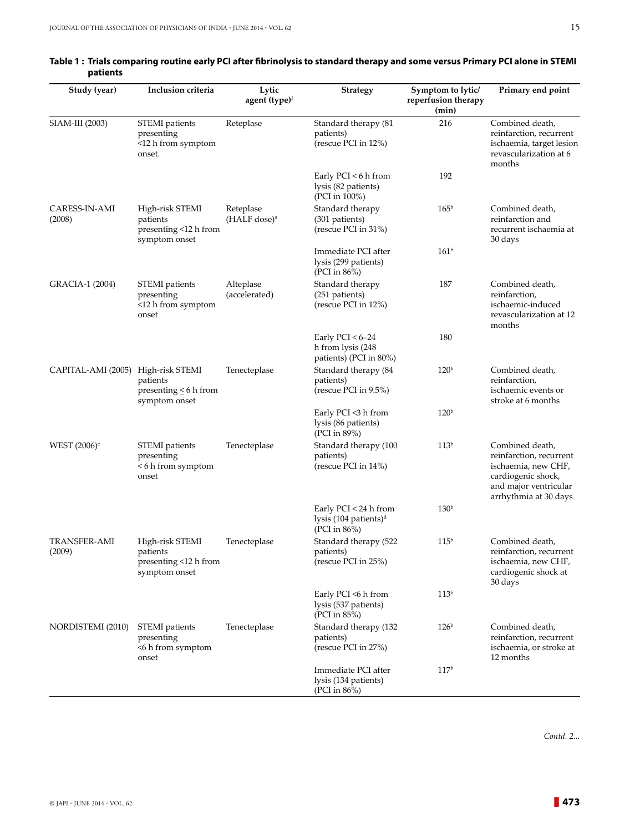| Study (year)                       | Inclusion criteria                                                    | Lytic<br>agent (type) <sup>f</sup>      | <b>Strategy</b>                                                            | Symptom to lytic/<br>reperfusion therapy<br>(min) | Primary end point                                                                                                                         |
|------------------------------------|-----------------------------------------------------------------------|-----------------------------------------|----------------------------------------------------------------------------|---------------------------------------------------|-------------------------------------------------------------------------------------------------------------------------------------------|
| SIAM-III (2003)                    | STEMI patients<br>presenting<br><12 h from symptom<br>onset.          | Reteplase                               | Standard therapy (81<br>patients)<br>(rescue PCI in 12%)                   | 216                                               | Combined death,<br>reinfarction, recurrent<br>ischaemia, target lesion<br>revascularization at 6<br>months                                |
|                                    |                                                                       |                                         | Early $PCI < 6$ h from<br>lysis (82 patients)<br>(PCI in 100%)             | 192                                               |                                                                                                                                           |
| CARESS-IN-AMI<br>(2008)            | High-risk STEMI<br>patients<br>presenting <12 h from<br>symptom onset | Reteplase<br>$(HALF$ dose) <sup>a</sup> | Standard therapy<br>(301 patients)<br>(rescue PCI in 31%)                  | 165 <sup>b</sup>                                  | Combined death,<br>reinfarction and<br>recurrent ischaemia at<br>30 days                                                                  |
|                                    |                                                                       |                                         | Immediate PCI after<br>lysis (299 patients)<br>(PCI in $86\%$ )            | 161 <sup>b</sup>                                  |                                                                                                                                           |
| GRACIA-1 (2004)                    | STEMI patients<br>presenting<br><12 h from symptom<br>onset           | Alteplase<br>(accelerated)              | Standard therapy<br>(251 patients)<br>(rescue PCI in 12%)                  | 187                                               | Combined death,<br>reinfarction,<br>ischaemic-induced<br>revascularization at 12<br>months                                                |
|                                    |                                                                       |                                         | Early $PCI < 6-24$<br>h from lysis (248<br>patients) (PCI in 80%)          | 180                                               |                                                                                                                                           |
| CAPITAL-AMI (2005) High-risk STEMI | patients<br>presenting $\leq 6$ h from<br>symptom onset               | Tenecteplase                            | Standard therapy (84<br>patients)<br>(rescue PCI in 9.5%)                  | 120 <sup>b</sup>                                  | Combined death,<br>reinfarction,<br>ischaemic events or<br>stroke at 6 months                                                             |
|                                    |                                                                       |                                         | Early PCI <3 h from<br>lysis (86 patients)<br>(PCI in 89%)                 | 120 <sup>b</sup>                                  |                                                                                                                                           |
| WEST $(2006)$ <sup>e</sup>         | STEMI patients<br>presenting<br><6 h from symptom<br>onset            | Tenecteplase                            | Standard therapy (100<br>patients)<br>(rescue PCI in 14%)                  | 113 <sup>b</sup>                                  | Combined death,<br>reinfarction, recurrent<br>ischaemia, new CHF,<br>cardiogenic shock,<br>and major ventricular<br>arrhythmia at 30 days |
|                                    |                                                                       |                                         | Early PCI < 24 h from<br>lysis (104 patients) <sup>d</sup><br>(PCI in 86%) | 130 <sup>b</sup>                                  |                                                                                                                                           |
| <b>TRANSFER-AMI</b><br>(2009)      | High-risk STEMI<br>patients<br>presenting <12 h from<br>symptom onset | Tenecteplase                            | Standard therapy (522<br>patients)<br>(rescue PCI in 25%)                  | 115 <sup>b</sup>                                  | Combined death,<br>reinfarction, recurrent<br>ischaemia, new CHF,<br>cardiogenic shock at<br>30 days                                      |
|                                    |                                                                       |                                         | Early PCI <6 h from<br>lysis (537 patients)<br>(PCI in 85%)                | 113 <sup>b</sup>                                  |                                                                                                                                           |
| NORDISTEMI (2010)                  | STEMI patients<br>presenting<br><6 h from symptom<br>onset            | Tenecteplase                            | Standard therapy (132<br>patients)<br>(rescue PCI in 27%)                  | 126 <sup>b</sup>                                  | Combined death,<br>reinfarction, recurrent<br>ischaemia, or stroke at<br>12 months                                                        |
|                                    |                                                                       |                                         | Immediate PCI after<br>lysis (134 patients)<br>(PCI in 86%)                | 117 <sup>b</sup>                                  |                                                                                                                                           |

#### **Table 1 : Trials comparing routine early PCI after fibrinolysis to standard therapy and some versus Primary PCI alone in STEMI patients**

*Contd. 2...*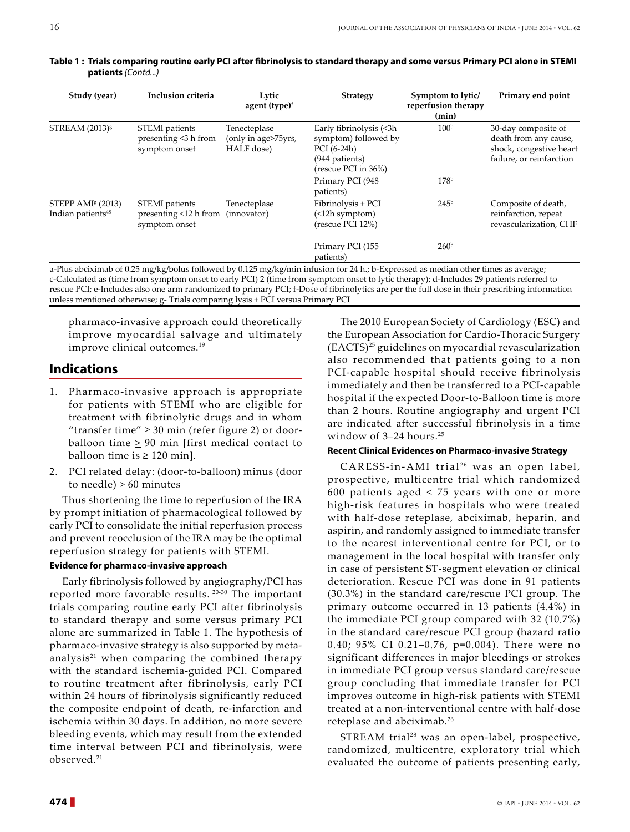| Study (year)                                                   | Inclusion criteria                                       | Lytic<br>agent (type) <sup>f</sup>                | <b>Strategy</b>                                                                                         | Symptom to lytic/<br>reperfusion therapy<br>(min) | Primary end point                                                                                   |
|----------------------------------------------------------------|----------------------------------------------------------|---------------------------------------------------|---------------------------------------------------------------------------------------------------------|---------------------------------------------------|-----------------------------------------------------------------------------------------------------|
| STREAM (2013) <sup>8</sup>                                     | STEMI patients<br>presenting <3 h from<br>symptom onset  | Tenecteplase<br>(only in age>75yrs,<br>HALF dose) | Early fibrinolysis (<3h<br>symptom) followed by<br>PCI (6-24h)<br>(944 patients)<br>(rescue PCI in 36%) | 100 <sup>b</sup>                                  | 30-day composite of<br>death from any cause,<br>shock, congestive heart<br>failure, or reinfarction |
|                                                                |                                                          |                                                   | Primary PCI (948<br>patients)                                                                           | 178 <sup>b</sup>                                  |                                                                                                     |
| STEPP AMI <sup>§</sup> (2013)<br>Indian patients <sup>48</sup> | STEMI patients<br>presenting <12 h from<br>symptom onset | Tenecteplase<br>(innovator)                       | Fibrinolysis + PCI<br>(<br>(rescue PCI 12%)                                                             | 245 <sup>b</sup>                                  | Composite of death,<br>reinfarction, repeat<br>revascularization, CHF                               |
|                                                                | .                                                        |                                                   | Primary PCI (155<br>patients)                                                                           | 260 <sup>b</sup>                                  |                                                                                                     |

**Table 1 : Trials comparing routine early PCI after fibrinolysis to standard therapy and some versus Primary PCI alone in STEMI patients** *(Contd...)*

a-Plus abciximab of 0.25 mg/kg/bolus followed by 0.125 mg/kg/min infusion for 24 h.; b-Expressed as median other times as average; c-Calculated as (time from symptom onset to early PCI) 2 (time from symptom onset to lytic therapy); d-Includes 29 patients referred to rescue PCI; e-Includes also one arm randomized to primary PCI; f-Dose of fibrinolytics are per the full dose in their prescribing information unless mentioned otherwise; g- Trials comparing lysis + PCI versus Primary PCI

pharmaco-invasive approach could theoretically improve myocardial salvage and ultimately improve clinical outcomes.<sup>19</sup>

# **Indications**

- 1. Pharmaco-invasive approach is appropriate for patients with STEMI who are eligible for treatment with fibrinolytic drugs and in whom "transfer time"  $\geq$  30 min (refer figure 2) or doorballoon time  $\geq 90$  min [first medical contact to balloon time is  $\geq 120$  min].
- 2. PCI related delay: (door-to-balloon) minus (door to needle) > 60 minutes

Thus shortening the time to reperfusion of the IRA by prompt initiation of pharmacological followed by early PCI to consolidate the initial reperfusion process and prevent reocclusion of the IRA may be the optimal reperfusion strategy for patients with STEMI.

### **Evidence for pharmaco-invasive approach**

Early fibrinolysis followed by angiography/PCI has reported more favorable results. 20-30 The important trials comparing routine early PCI after fibrinolysis to standard therapy and some versus primary PCI alone are summarized in Table 1. The hypothesis of pharmaco-invasive strategy is also supported by metaanalysis $21$  when comparing the combined therapy with the standard ischemia-guided PCI. Compared to routine treatment after fibrinolysis, early PCI within 24 hours of fibrinolysis significantly reduced the composite endpoint of death, re-infarction and ischemia within 30 days. In addition, no more severe bleeding events, which may result from the extended time interval between PCI and fibrinolysis, were observed.21

The 2010 European Society of Cardiology (ESC) and the European Association for Cardio-Thoracic Surgery (EACTS)25 guidelines on myocardial revascularization also recommended that patients going to a non PCI-capable hospital should receive fibrinolysis immediately and then be transferred to a PCI-capable hospital if the expected Door-to-Balloon time is more than 2 hours. Routine angiography and urgent PCI are indicated after successful fibrinolysis in a time window of 3-24 hours.<sup>25</sup>

### **Recent Clinical Evidences on Pharmaco-invasive Strategy**

CARESS-in-AMI trial<sup>26</sup> was an open label, prospective, multicentre trial which randomized 600 patients aged < 75 years with one or more high-risk features in hospitals who were treated with half-dose reteplase, abciximab, heparin, and aspirin, and randomly assigned to immediate transfer to the nearest interventional centre for PCI, or to management in the local hospital with transfer only in case of persistent ST-segment elevation or clinical deterioration. Rescue PCI was done in 91 patients (30.3%) in the standard care/rescue PCI group. The primary outcome occurred in 13 patients (4.4%) in the immediate PCI group compared with 32 (10.7%) in the standard care/rescue PCI group (hazard ratio 0.40; 95% CI 0.21–0.76, p=0.004). There were no significant differences in major bleedings or strokes in immediate PCI group versus standard care/rescue group concluding that immediate transfer for PCI improves outcome in high-risk patients with STEMI treated at a non-interventional centre with half-dose reteplase and abciximab.26

STREAM trial<sup>28</sup> was an open-label, prospective, randomized, multicentre, exploratory trial which evaluated the outcome of patients presenting early,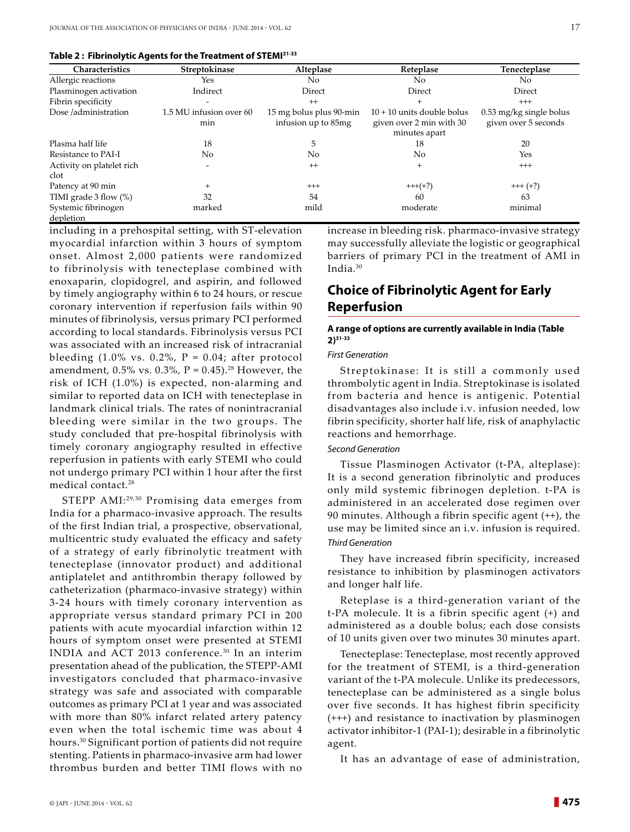|  | Table 2 : Fibrinolytic Agents for the Treatment of STEMI31-33 |  |
|--|---------------------------------------------------------------|--|
|  |                                                               |  |

| Characteristics                   | Streptokinase                  | Alteplase                                      | Reteplase                                                                 | Tenecteplase                                    |
|-----------------------------------|--------------------------------|------------------------------------------------|---------------------------------------------------------------------------|-------------------------------------------------|
| Allergic reactions                | Yes                            | No.                                            | No.                                                                       | No.                                             |
| Plasminogen activation            | Indirect                       | Direct                                         | Direct                                                                    | Direct                                          |
| Fibrin specificity                | $\overline{\phantom{a}}$       | $^{++}$                                        | $^{+}$                                                                    | $^{+++}$                                        |
| Dose/administration               | 1.5 MU infusion over 60<br>min | 15 mg bolus plus 90-min<br>infusion up to 85mg | $10 + 10$ units double bolus<br>given over 2 min with 30<br>minutes apart | 0.53 mg/kg single bolus<br>given over 5 seconds |
| Plasma half life                  | 18                             | 5                                              | 18                                                                        | 20                                              |
| Resistance to PAI-I               | No                             | No                                             | No.                                                                       | Yes                                             |
| Activity on platelet rich<br>clot | ٠                              | $^{++}$                                        | $\ddot{}$                                                                 | $^{+++}$                                        |
| Patency at 90 min                 | $\ddot{}$                      | $^{+++}$                                       | $+++(+?)$                                                                 | $+++ (+?)$                                      |
| TIMI grade $3$ flow $(\%)$        | 32                             | 54                                             | 60                                                                        | 63                                              |
| Systemic fibrinogen<br>depletion  | marked                         | mild                                           | moderate                                                                  | minimal                                         |

including in a prehospital setting, with ST-elevation myocardial infarction within 3 hours of symptom onset. Almost 2,000 patients were randomized to fibrinolysis with tenecteplase combined with enoxaparin, clopidogrel, and aspirin, and followed by timely angiography within 6 to 24 hours, or rescue coronary intervention if reperfusion fails within 90 minutes of fibrinolysis, versus primary PCI performed according to local standards. Fibrinolysis versus PCI was associated with an increased risk of intracranial bleeding  $(1.0\% \text{ vs. } 0.2\% , P = 0.04$ ; after protocol amendment,  $0.5\%$  vs.  $0.3\%$ ,  $P = 0.45$ ).<sup>28</sup> However, the risk of ICH (1.0%) is expected, non-alarming and similar to reported data on ICH with tenecteplase in landmark clinical trials. The rates of nonintracranial bleeding were similar in the two groups. The study concluded that pre-hospital fibrinolysis with timely coronary angiography resulted in effective reperfusion in patients with early STEMI who could not undergo primary PCI within 1 hour after the first medical contact.28

STEPP AMI:29,30 Promising data emerges from India for a pharmaco-invasive approach. The results of the first Indian trial, a prospective, observational, multicentric study evaluated the efficacy and safety of a strategy of early fibrinolytic treatment with tenecteplase (innovator product) and additional antiplatelet and antithrombin therapy followed by catheterization (pharmaco-invasive strategy) within 3-24 hours with timely coronary intervention as appropriate versus standard primary PCI in 200 patients with acute myocardial infarction within 12 hours of symptom onset were presented at STEMI INDIA and ACT 2013 conference.30 In an interim presentation ahead of the publication, the STEPP-AMI investigators concluded that pharmaco-invasive strategy was safe and associated with comparable outcomes as primary PCI at 1 year and was associated with more than 80% infarct related artery patency even when the total ischemic time was about 4 hours.30 Significant portion of patients did not require stenting. Patients in pharmaco-invasive arm had lower thrombus burden and better TIMI flows with no

increase in bleeding risk. pharmaco-invasive strategy may successfully alleviate the logistic or geographical barriers of primary PCI in the treatment of AMI in India.30

# **Choice of Fibrinolytic Agent for Early Reperfusion**

#### **A range of options are currently available in India (Table 2)31-33**

#### *First Generation*

Streptokinase: It is still a commonly used thrombolytic agent in India. Streptokinase is isolated from bacteria and hence is antigenic. Potential disadvantages also include i.v. infusion needed, low fibrin specificity, shorter half life, risk of anaphylactic reactions and hemorrhage.

### *Second Generation*

Tissue Plasminogen Activator (t-PA, alteplase): It is a second generation fibrinolytic and produces only mild systemic fibrinogen depletion. t-PA is administered in an accelerated dose regimen over 90 minutes. Although a fibrin specific agent (++), the use may be limited since an i.v. infusion is required. *Third Generation*

They have increased fibrin specificity, increased resistance to inhibition by plasminogen activators and longer half life.

Reteplase is a third-generation variant of the t-PA molecule. It is a fibrin specific agent (+) and administered as a double bolus; each dose consists of 10 units given over two minutes 30 minutes apart.

Tenecteplase: Tenecteplase, most recently approved for the treatment of STEMI, is a third-generation variant of the t-PA molecule. Unlike its predecessors, tenecteplase can be administered as a single bolus over five seconds. It has highest fibrin specificity (+++) and resistance to inactivation by plasminogen activator inhibitor-1 (PAI-1); desirable in a fibrinolytic agent.

It has an advantage of ease of administration,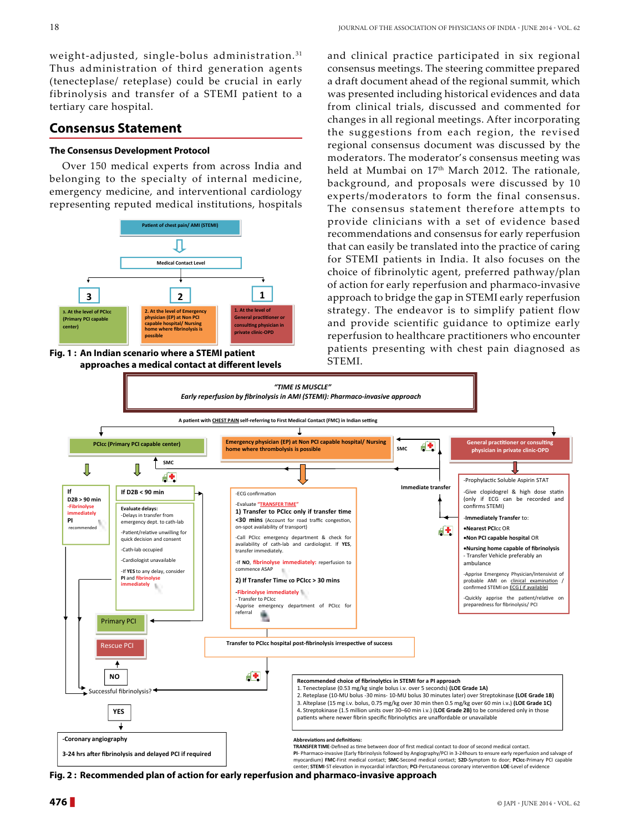weight-adjusted, single-bolus administration. <sup>31</sup> Thus administration of third generation agents (tenecteplase/ reteplase) could be crucial in early fibrinolysis and transfer of a STEMI patient to a tertiary care hospital.

### **Consensus Statement**

#### **The Consensus Development Protocol**

Over 150 medical experts from across India and belonging to the specialty of internal medicine, emergency medicine, and interventional cardiology representing reputed medical institutions, hospitals



**Fig. 1 : An Indian scenario where a STEMI patient approaches a medical contact at different levels**

and clinical practice participated in six regional consensus meetings. The steering committee prepared a draft document ahead of the regional summit, which was presented including historical evidences and data from clinical trials, discussed and commented for changes in all regional meetings. After incorporating the suggestions from each region, the revised regional consensus document was discussed by the moderators. The moderator's consensus meeting was held at Mumbai on 17<sup>th</sup> March 2012. The rationale, background, and proposals were discussed by 10 experts/moderators to form the final consensus. The consensus statement therefore attempts to provide clinicians with a set of evidence based recommendations and consensus for early reperfusion that can easily be translated into the practice of caring for STEMI patients in India. It also focuses on the choice of fibrinolytic agent, preferred pathway/plan of action for early reperfusion and pharmaco-invasive approach to bridge the gap in STEMI early reperfusion strategy. The endeavor is to simplify patient flow and provide scientific guidance to optimize early reperfusion to healthcare practitioners who encounter patients presenting with chest pain diagnosed as STEMI.



**Fig. 2 : Recommended plan of action for early reperfusion and pharmaco-invasive approach**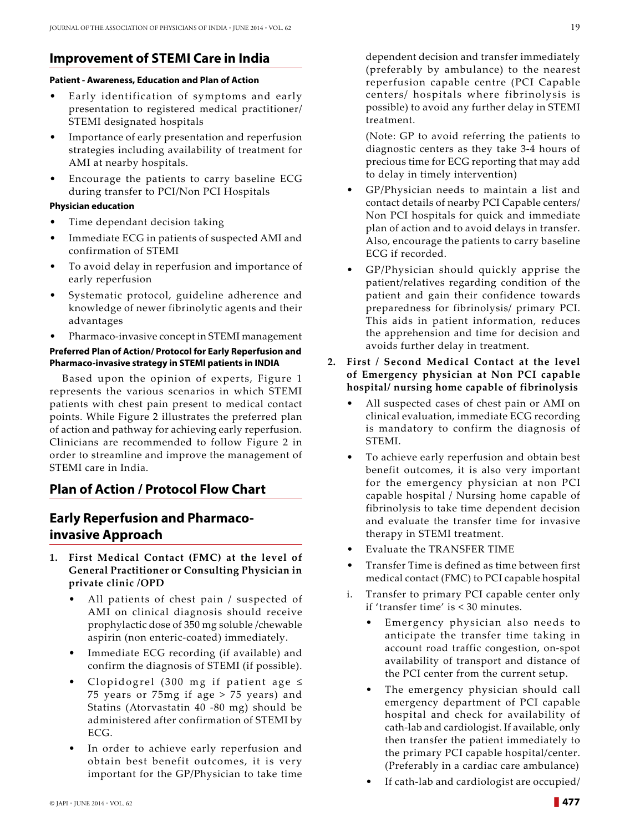# **Improvement of Stemi Care in India**

#### **Patient - Awareness, Education and Plan of Action**

- Early identification of symptoms and early presentation to registered medical practitioner/ STEMI designated hospitals
- Importance of early presentation and reperfusion strategies including availability of treatment for AMI at nearby hospitals.
- Encourage the patients to carry baseline ECG during transfer to PCI/Non PCI Hospitals

### **Physician education**

- Time dependant decision taking
- Immediate ECG in patients of suspected AMI and confirmation of STEMI
- To avoid delay in reperfusion and importance of early reperfusion
- Systematic protocol, guideline adherence and knowledge of newer fibrinolytic agents and their advantages
- Pharmaco-invasive concept in STEMI management

### **Preferred Plan of Action/ Protocol for Early Reperfusion and Pharmaco-invasive strategy in STEMI patients in INDIA**

Based upon the opinion of experts, Figure 1 represents the various scenarios in which STEMI patients with chest pain present to medical contact points. While Figure 2 illustrates the preferred plan of action and pathway for achieving early reperfusion. Clinicians are recommended to follow Figure 2 in order to streamline and improve the management of STEMI care in India.

# **Plan of Action / Protocol Flow Chart**

# **Early Reperfusion and Pharmacoinvasive Approach**

- **1. First Medical Contact (FMC) at the level of General Practitioner or Consulting Physician in private clinic /OPD**
	- All patients of chest pain / suspected of AMI on clinical diagnosis should receive prophylactic dose of 350 mg soluble /chewable aspirin (non enteric-coated) immediately.
	- Immediate ECG recording (if available) and confirm the diagnosis of STEMI (if possible).
	- Clopidogrel (300 mg if patient age  $\leq$ 75 years or 75mg if age > 75 years) and Statins (Atorvastatin 40 -80 mg) should be administered after confirmation of STEMI by ECG.
	- In order to achieve early reperfusion and obtain best benefit outcomes, it is very important for the GP/Physician to take time

dependent decision and transfer immediately (preferably by ambulance) to the nearest reperfusion capable centre (PCI Capable centers/ hospitals where fibrinolysis is possible) to avoid any further delay in STEMI treatment.

 (Note: GP to avoid referring the patients to diagnostic centers as they take 3-4 hours of precious time for ECG reporting that may add to delay in timely intervention)

- GP/Physician needs to maintain a list and contact details of nearby PCI Capable centers/ Non PCI hospitals for quick and immediate plan of action and to avoid delays in transfer. Also, encourage the patients to carry baseline ECG if recorded.
- GP/Physician should quickly apprise the patient/relatives regarding condition of the patient and gain their confidence towards preparedness for fibrinolysis/ primary PCI. This aids in patient information, reduces the apprehension and time for decision and avoids further delay in treatment.
- **2. First / Second Medical Contact at the level of Emergency physician at Non PCI capable hospital/ nursing home capable of fibrinolysis**
	- All suspected cases of chest pain or AMI on clinical evaluation, immediate ECG recording is mandatory to confirm the diagnosis of STEMI.
	- To achieve early reperfusion and obtain best benefit outcomes, it is also very important for the emergency physician at non PCI capable hospital / Nursing home capable of fibrinolysis to take time dependent decision and evaluate the transfer time for invasive therapy in STEMI treatment.
	- Evaluate the TRANSFER TIME
	- Transfer Time is defined as time between first medical contact (FMC) to PCI capable hospital
	- i. Transfer to primary PCI capable center only if 'transfer time' is < 30 minutes.
		- Emergency physician also needs to anticipate the transfer time taking in account road traffic congestion, on-spot availability of transport and distance of the PCI center from the current setup.
		- The emergency physician should call emergency department of PCI capable hospital and check for availability of cath-lab and cardiologist. If available, only then transfer the patient immediately to the primary PCI capable hospital/center. (Preferably in a cardiac care ambulance)
		- If cath-lab and cardiologist are occupied/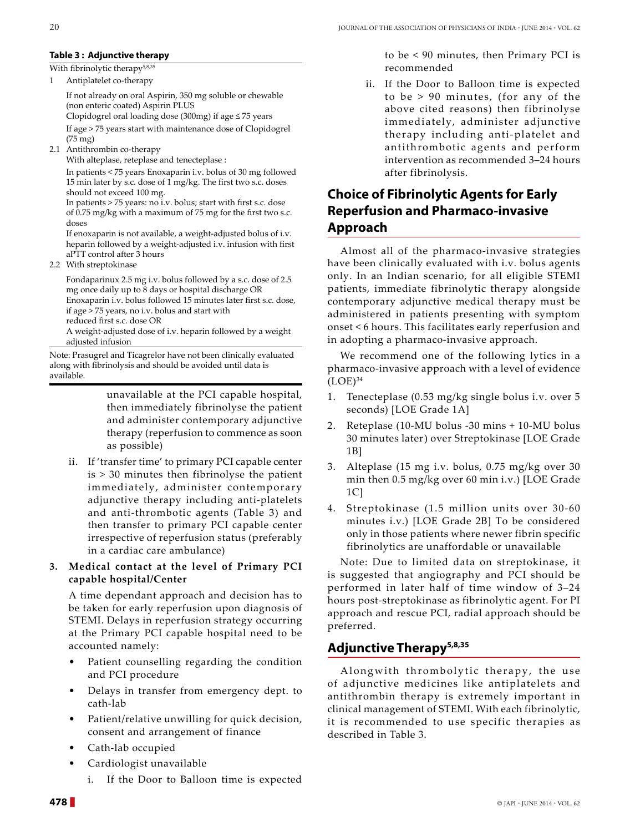#### **Table 3 : Adjunctive therapy**

#### With fibrinolytic therapy<sup>5,8,35</sup>

1 Antiplatelet co-therapy

If not already on oral Aspirin, 350 mg soluble or chewable (non enteric coated) Aspirin PLUS Clopidogrel oral loading dose (300mg) if age ≤ 75 years

If age > 75 years start with maintenance dose of Clopidogrel (75 mg)

2.1 Antithrombin co-therapy

With alteplase, reteplase and tenecteplase :

In patients < 75 years Enoxaparin i.v. bolus of 30 mg followed 15 min later by s.c. dose of 1 mg/kg. The first two s.c. doses should not exceed 100 mg.

In patients > 75 years: no i.v. bolus; start with first s.c. dose of 0.75 mg/kg with a maximum of 75 mg for the first two s.c. doses

If enoxaparin is not available, a weight-adjusted bolus of i.v. heparin followed by a weight-adjusted i.v. infusion with first aPTT control after 3 hours

2.2 With streptokinase

Fondaparinux 2.5 mg i.v. bolus followed by a s.c. dose of 2.5 mg once daily up to 8 days or hospital discharge OR Enoxaparin i.v. bolus followed 15 minutes later first s.c. dose, if age > 75 years, no i.v. bolus and start with

reduced first s.c. dose OR

A weight-adjusted dose of i.v. heparin followed by a weight adjusted infusion

Note: Prasugrel and Ticagrelor have not been clinically evaluated along with fibrinolysis and should be avoided until data is available.

> unavailable at the PCI capable hospital, then immediately fibrinolyse the patient and administer contemporary adjunctive therapy (reperfusion to commence as soon as possible)

ii. If 'transfer time' to primary PCI capable center is > 30 minutes then fibrinolyse the patient immediately, administer contemporary adjunctive therapy including anti-platelets and anti-thrombotic agents (Table 3) and then transfer to primary PCI capable center irrespective of reperfusion status (preferably in a cardiac care ambulance)

### **3. Medical contact at the level of Primary PCI capable hospital/Center**

A time dependant approach and decision has to be taken for early reperfusion upon diagnosis of STEMI. Delays in reperfusion strategy occurring at the Primary PCI capable hospital need to be accounted namely:

- Patient counselling regarding the condition and PCI procedure
- Delays in transfer from emergency dept. to cath-lab
- Patient/relative unwilling for quick decision, consent and arrangement of finance
- Cath-lab occupied
- Cardiologist unavailable
	- i. If the Door to Balloon time is expected

to be < 90 minutes, then Primary PCI is recommended

 ii. If the Door to Balloon time is expected to be > 90 minutes, (for any of the above cited reasons) then fibrinolyse immediately, administer adjunctive therapy including anti-platelet and antithrombotic agents and perform intervention as recommended 3–24 hours after fibrinolysis.

# **Choice of Fibrinolytic Agents for Early Reperfusion and Pharmaco-invasive Approach**

Almost all of the pharmaco-invasive strategies have been clinically evaluated with i.v. bolus agents only. In an Indian scenario, for all eligible STEMI patients, immediate fibrinolytic therapy alongside contemporary adjunctive medical therapy must be administered in patients presenting with symptom onset < 6 hours. This facilitates early reperfusion and in adopting a pharmaco-invasive approach.

We recommend one of the following lytics in a pharmaco-invasive approach with a level of evidence  $(LOE)^{34}$ 

- 1. Tenecteplase (0.53 mg/kg single bolus i.v. over 5 seconds) [LOE Grade 1A]
- 2. Reteplase (10-MU bolus -30 mins + 10-MU bolus 30 minutes later) over Streptokinase [LOE Grade 1B]
- 3. Alteplase (15 mg i.v. bolus, 0.75 mg/kg over 30 min then 0.5 mg/kg over 60 min i.v.) [LOE Grade 1C]
- 4. Streptokinase (1.5 million units over 30-60 minutes i.v.) [LOE Grade 2B] To be considered only in those patients where newer fibrin specific fibrinolytics are unaffordable or unavailable

Note: Due to limited data on streptokinase, it is suggested that angiography and PCI should be performed in later half of time window of 3–24 hours post-streptokinase as fibrinolytic agent. For PI approach and rescue PCI, radial approach should be preferred.

# **Adjunctive Therapy5,8,35**

Alongwith thrombolytic therapy, the use of adjunctive medicines like antiplatelets and antithrombin therapy is extremely important in clinical management of STEMI. With each fibrinolytic, it is recommended to use specific therapies as described in Table 3.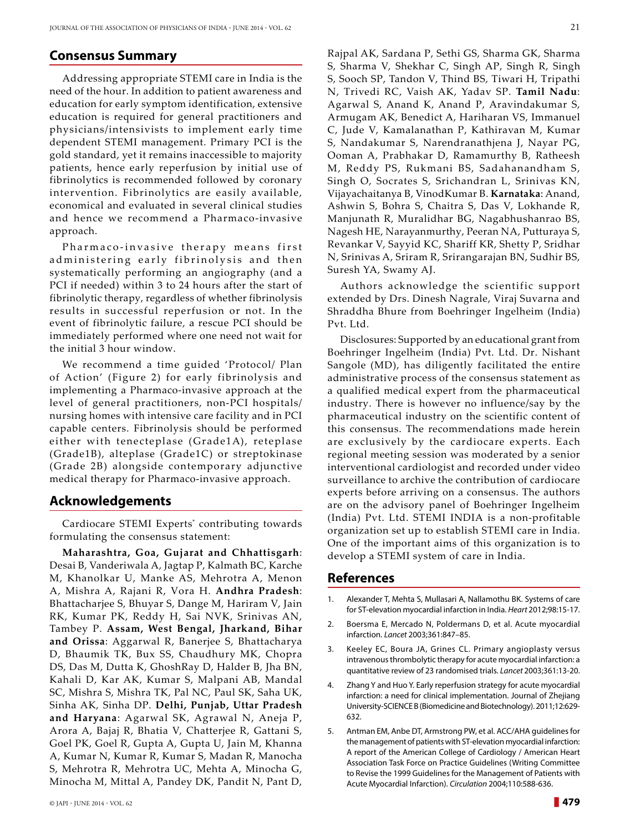### **Consensus Summary**

Addressing appropriate STEMI care in India is the need of the hour. In addition to patient awareness and education for early symptom identification, extensive education is required for general practitioners and physicians/intensivists to implement early time dependent STEMI management. Primary PCI is the gold standard, yet it remains inaccessible to majority patients, hence early reperfusion by initial use of fibrinolytics is recommended followed by coronary intervention. Fibrinolytics are easily available, economical and evaluated in several clinical studies and hence we recommend a Pharmaco-invasive approach.

Pharmaco-invasive therapy means first ad ministering early fibrinolysis and then systematically performing an angiography (and a PCI if needed) within 3 to 24 hours after the start of fibrinolytic therapy, regardless of whether fibrinolysis results in successful reperfusion or not. In the event of fibrinolytic failure, a rescue PCI should be immediately performed where one need not wait for the initial 3 hour window.

We recommend a time guided 'Protocol/ Plan of Action' (Figure 2) for early fibrinolysis and implementing a Pharmaco-invasive approach at the level of general practitioners, non-PCI hospitals/ nursing homes with intensive care facility and in PCI capable centers. Fibrinolysis should be performed either with tenecteplase (Grade1A), reteplase (Grade1B), alteplase (Grade1C) or streptokinase (Grade 2B) alongside contemporary adjunctive medical therapy for Pharmaco-invasive approach.

### **Acknowledgements**

Cardiocare STEMI Experts\* contributing towards formulating the consensus statement:

**Maharashtra, Goa, Gujarat and Chhattisgarh**: Desai B, Vanderiwala A, Jagtap P, Kalmath BC, Karche M, Khanolkar U, Manke AS, Mehrotra A, Menon A, Mishra A, Rajani R, Vora H. **Andhra Pradesh**: Bhattacharjee S, Bhuyar S, Dange M, Hariram V, Jain RK, Kumar PK, Reddy H, Sai NVK, Srinivas AN, Tambey P. **Assam, West Bengal, Jharkand, Bihar and Orissa**: Aggarwal R, Banerjee S, Bhattacharya D, Bhaumik TK, Bux SS, Chaudhury MK, Chopra DS, Das M, Dutta K, GhoshRay D, Halder B, Jha BN, Kahali D, Kar AK, Kumar S, Malpani AB, Mandal SC, Mishra S, Mishra TK, Pal NC, Paul SK, Saha UK, Sinha AK, Sinha DP. **Delhi, Punjab, Uttar Pradesh and Haryana**: Agarwal SK, Agrawal N, Aneja P, Arora A, Bajaj R, Bhatia V, Chatterjee R, Gattani S, Goel PK, Goel R, Gupta A, Gupta U, Jain M, Khanna A, Kumar N, Kumar R, Kumar S, Madan R, Manocha S, Mehrotra R, Mehrotra UC, Mehta A, Minocha G, Minocha M, Mittal A, Pandey DK, Pandit N, Pant D,

Rajpal AK, Sardana P, Sethi GS, Sharma GK, Sharma S, Sharma V, Shekhar C, Singh AP, Singh R, Singh S, Sooch SP, Tandon V, Thind BS, Tiwari H, Tripathi N, Trivedi RC, Vaish AK, Yadav SP. **Tamil Nadu**: Agarwal S, Anand K, Anand P, Aravindakumar S, Armugam AK, Benedict A, Hariharan VS, Immanuel C, Jude V, Kamalanathan P, Kathiravan M, Kumar S, Nandakumar S, Narendranathjena J, Nayar PG, Ooman A, Prabhakar D, Ramamurthy B, Ratheesh M, Reddy PS, Rukmani BS, Sadahanandham S, Singh O, Socrates S, Srichandran L, Srinivas KN, Vijayachaitanya B, VinodKumar B. **Karnataka**: Anand, Ashwin S, Bohra S, Chaitra S, Das V, Lokhande R, Manjunath R, Muralidhar BG, Nagabhushanrao BS, Nagesh HE, Narayanmurthy, Peeran NA, Putturaya S, Revankar V, Sayyid KC, Shariff KR, Shetty P, Sridhar N, Srinivas A, Sriram R, Srirangarajan BN, Sudhir BS, Suresh YA, Swamy AJ.

Authors acknowledge the scientific support extended by Drs. Dinesh Nagrale, Viraj Suvarna and Shraddha Bhure from Boehringer Ingelheim (India) Pvt. Ltd.

Disclosures: Supported by an educational grant from Boehringer Ingelheim (India) Pvt. Ltd. Dr. Nishant Sangole (MD), has diligently facilitated the entire administrative process of the consensus statement as a qualified medical expert from the pharmaceutical industry. There is however no influence/say by the pharmaceutical industry on the scientific content of this consensus. The recommendations made herein are exclusively by the cardiocare experts. Each regional meeting session was moderated by a senior interventional cardiologist and recorded under video surveillance to archive the contribution of cardiocare experts before arriving on a consensus. The authors are on the advisory panel of Boehringer Ingelheim (India) Pvt. Ltd. STEMI INDIA is a non-profitable organization set up to establish STEMI care in India. One of the important aims of this organization is to develop a STEMI system of care in India.

### **References**

- 1. Alexander T, Mehta S, Mullasari A, Nallamothu BK. Systems of care for ST-elevation myocardial infarction in India. *Heart* 2012;98:15-17.
- 2. Boersma E, Mercado N, Poldermans D, et al. Acute myocardial infarction. *Lancet* 2003;361:847–85.
- 3. Keeley EC, Boura JA, Grines CL. Primary angioplasty versus intravenous thrombolytic therapy for acute myocardial infarction: a quantitative review of 23 randomised trials. *Lancet* 2003;361:13-20.
- Zhang Y and Huo Y. Early reperfusion strategy for acute myocardial infarction: a need for clinical implementation. Journal of Zhejiang University-SCIENCE B (Biomedicine and Biotechnology). 2011;12:629- 632.
- 5. Antman EM, Anbe DT, Armstrong PW, et al. ACC/AHA guidelines for the management of patients with ST-elevation myocardial infarction: A report of the American College of Cardiology / American Heart Association Task Force on Practice Guidelines (Writing Committee to Revise the 1999 Guidelines for the Management of Patients with Acute Myocardial Infarction). *Circulation* 2004;110:588-636.